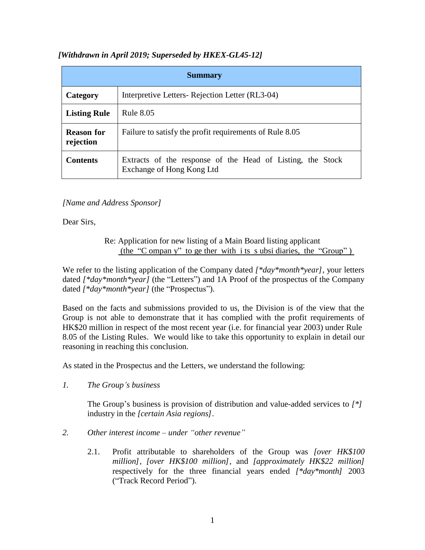## *[Withdrawn in April 2019; Superseded by HKEX-GL45-12]*

| <b>Summary</b>          |                                                                                         |
|-------------------------|-----------------------------------------------------------------------------------------|
| Category                | Interpretive Letters- Rejection Letter (RL3-04)                                         |
| <b>Listing Rule</b>     | Rule 8.05                                                                               |
| Reason for<br>rejection | Failure to satisfy the profit requirements of Rule 8.05                                 |
| <b>Contents</b>         | Extracts of the response of the Head of Listing, the Stock<br>Exchange of Hong Kong Ltd |

## *[Name and Address Sponsor]*

Dear Sirs,

Re: Application for new listing of a Main Board listing applicant (the "C ompan y" to ge ther with i ts s ubsi diaries, the "Group" )

We refer to the listing application of the Company dated *[\*day\*month\*year]*, your letters dated *[\*day\*month\*year]* (the "Letters") and 1A Proof of the prospectus of the Company dated *[\*day\*month\*year]* (the "Prospectus").

Based on the facts and submissions provided to us, the Division is of the view that the Group is not able to demonstrate that it has complied with the profit requirements of HK\$20 million in respect of the most recent year (i.e. for financial year 2003) under Rule 8.05 of the Listing Rules. We would like to take this opportunity to explain in detail our reasoning in reaching this conclusion.

As stated in the Prospectus and the Letters, we understand the following:

*1. The Group's business*

The Group's business is provision of distribution and value-added services to *[\*]* industry in the *[certain Asia regions]*.

- *2. Other interest income – under "other revenue"*
	- 2.1. Profit attributable to shareholders of the Group was *[over HK\$100 million], [over HK\$100 million]*, and *[approximately HK\$22 million]*  respectively for the three financial years ended *[\*day\*month]* 2003 ("Track Record Period").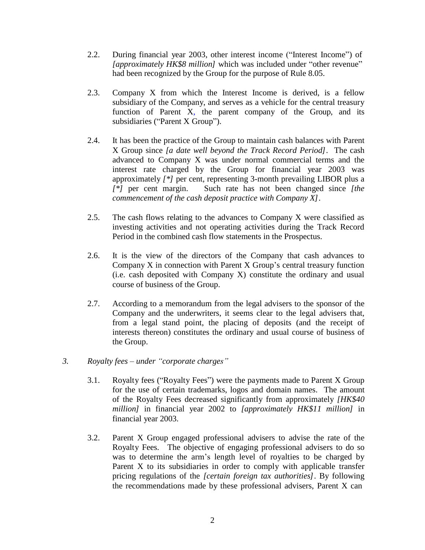- 2.2. During financial year 2003, other interest income ("Interest Income") of *[approximately HK\$8 million]* which was included under "other revenue" had been recognized by the Group for the purpose of Rule 8.05.
- 2.3. Company X from which the Interest Income is derived, is a fellow subsidiary of the Company, and serves as a vehicle for the central treasury function of Parent X, the parent company of the Group, and its subsidiaries ("Parent X Group").
- 2.4. It has been the practice of the Group to maintain cash balances with Parent X Group since *[a date well beyond the Track Record Period]*. The cash advanced to Company X was under normal commercial terms and the interest rate charged by the Group for financial year 2003 was approximately *[\*]* per cent, representing 3-month prevailing LIBOR plus a *[\*]* per cent margin. Such rate has not been changed since *[the commencement of the cash deposit practice with Company X]*.
- 2.5. The cash flows relating to the advances to Company X were classified as investing activities and not operating activities during the Track Record Period in the combined cash flow statements in the Prospectus.
- 2.6. It is the view of the directors of the Company that cash advances to Company X in connection with Parent X Group's central treasury function (i.e. cash deposited with Company X) constitute the ordinary and usual course of business of the Group.
- 2.7. According to a memorandum from the legal advisers to the sponsor of the Company and the underwriters, it seems clear to the legal advisers that, from a legal stand point, the placing of deposits (and the receipt of interests thereon) constitutes the ordinary and usual course of business of the Group.
- *3. Royalty fees – under "corporate charges"*
	- 3.1. Royalty fees ("Royalty Fees") were the payments made to Parent X Group for the use of certain trademarks, logos and domain names. The amount of the Royalty Fees decreased significantly from approximately *[HK\$40 million]* in financial year 2002 to *[approximately HK\$11 million]* in financial year 2003.
	- 3.2. Parent X Group engaged professional advisers to advise the rate of the Royalty Fees. The objective of engaging professional advisers to do so was to determine the arm's length level of royalties to be charged by Parent X to its subsidiaries in order to comply with applicable transfer pricing regulations of the *[certain foreign tax authorities]*. By following the recommendations made by these professional advisers, Parent X can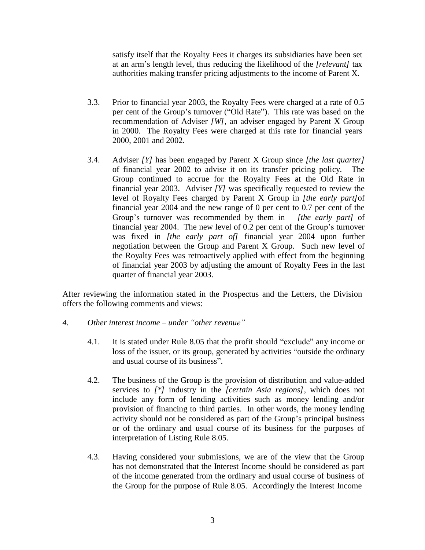satisfy itself that the Royalty Fees it charges its subsidiaries have been set at an arm's length level, thus reducing the likelihood of the *[relevant]* tax authorities making transfer pricing adjustments to the income of Parent X.

- 3.3. Prior to financial year 2003, the Royalty Fees were charged at a rate of 0.5 per cent of the Group's turnover ("Old Rate"). This rate was based on the recommendation of Adviser *[W]*, an adviser engaged by Parent X Group in 2000. The Royalty Fees were charged at this rate for financial years 2000, 2001 and 2002.
- 3.4. Adviser *[Y]* has been engaged by Parent X Group since *[the last quarter]*  of financial year 2002 to advise it on its transfer pricing policy. The Group continued to accrue for the Royalty Fees at the Old Rate in financial year 2003. Adviser *[Y]* was specifically requested to review the level of Royalty Fees charged by Parent X Group in *[the early part]*of financial year 2004 and the new range of 0 per cent to 0.7 per cent of the Group's turnover was recommended by them in *[the early part]* of financial year 2004. The new level of 0.2 per cent of the Group's turnover was fixed in *[the early part of]* financial year 2004 upon further negotiation between the Group and Parent X Group. Such new level of the Royalty Fees was retroactively applied with effect from the beginning of financial year 2003 by adjusting the amount of Royalty Fees in the last quarter of financial year 2003.

After reviewing the information stated in the Prospectus and the Letters, the Division offers the following comments and views:

- *4. Other interest income – under "other revenue"*
	- 4.1. It is stated under Rule 8.05 that the profit should "exclude" any income or loss of the issuer, or its group, generated by activities "outside the ordinary and usual course of its business".
	- 4.2. The business of the Group is the provision of distribution and value-added services to *[\*]* industry in the *[certain Asia regions]*, which does not include any form of lending activities such as money lending and/or provision of financing to third parties. In other words, the money lending activity should not be considered as part of the Group's principal business or of the ordinary and usual course of its business for the purposes of interpretation of Listing Rule 8.05.
	- 4.3. Having considered your submissions, we are of the view that the Group has not demonstrated that the Interest Income should be considered as part of the income generated from the ordinary and usual course of business of the Group for the purpose of Rule 8.05. Accordingly the Interest Income